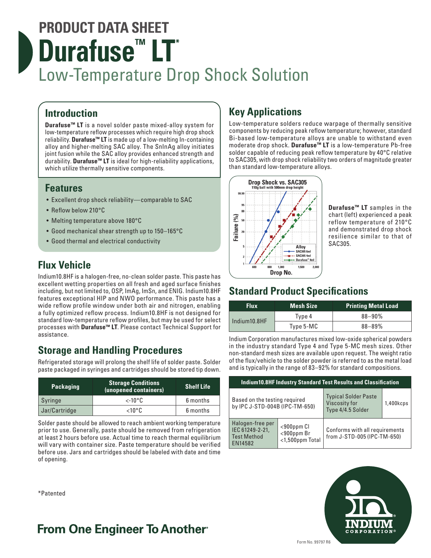# **PRODUCT DATA SHEET Durafuse<sup>™</sup> LT<sup>\*</sup>** Low-Temperature Drop Shock Solution

## **Introduction**

**Durafuse™ LT** is a novel solder paste mixed-alloy system for low-temperature reflow processes which require high drop shock reliability. **Durafuse™ LT** is made up of a low-melting In-containing alloy and higher-melting SAC alloy. The SnInAg alloy initiates joint fusion while the SAC alloy provides enhanced strength and durability. **Durafuse™ LT** is ideal for high-reliability applications, which utilize thermally sensitive components.

### **Features**

- Excellent drop shock reliability—comparable to SAC
- Reflow below 210°C
- Melting temperature above 180°C
- Good mechanical shear strength up to 150–165°C
- Good thermal and electrical conductivity

## **Flux Vehicle**

Indium10.8HF is a halogen-free, no-clean solder paste. This paste has excellent wetting properties on all fresh and aged surface finishes including, but not limited to, OSP, ImAg, ImSn, and ENIG. Indium10.8HF features exceptional HIP and NWO performance. This paste has a wide reflow profile window under both air and nitrogen, enabling a fully optimized reflow process. Indium10.8HF is not designed for standard low-temperature reflow profiles, but may be used for select processes with **Durafuse™ LT**. Please contact Technical Support for assistance.

## **Storage and Handling Procedures**

Refrigerated storage will prolong the shelf life of solder paste. Solder paste packaged in syringes and cartridges should be stored tip down.

| <b>Packaging</b> | <b>Storage Conditions</b><br>(unopened containers) | <b>Shelf Life</b> |  |
|------------------|----------------------------------------------------|-------------------|--|
| Syringe          | $\lt$ -10°C                                        | 6 months          |  |
| Jar/Cartridge    | ∠10°C                                              | 6 months          |  |

Solder paste should be allowed to reach ambient working temperature prior to use. Generally, paste should be removed from refrigeration at least 2 hours before use. Actual time to reach thermal equilibrium will vary with container size. Paste temperature should be verified before use. Jars and cartridges should be labeled with date and time of opening.

#### \*Patented

## **Key Applications**

Low-temperature solders reduce warpage of thermally sensitive components by reducing peak reflow temperature; however, standard Bi-based low-temperature alloys are unable to withstand even moderate drop shock. **Durafuse™ LT** is a low-temperature Pb-free solder capable of reducing peak reflow temperature by 40°C relative to SAC305, with drop shock reliability two orders of magnitude greater than standard low-temperature alloys.



**Durafuse™ LT** samples in the chart (left) experienced a peak reflow temperature of 210°C and demonstrated drop shock resilience similar to that of SAC305.

## **Standard Product Specifications**

| Flux.        | <b>Mesh Size</b> | <b>Printing Metal Load</b> |
|--------------|------------------|----------------------------|
| Indium10.8HF | Type 4           | $88 - 90\%$                |
|              | Type 5-MC        | $88 - 89%$                 |

Indium Corporation manufactures mixed low-oxide spherical powders in the industry standard Type 4 and Type 5-MC mesh sizes. Other non-standard mesh sizes are available upon request. The weight ratio of the flux/vehicle to the solder powder is referred to as the metal load and is typically in the range of 83–92% for standard compositions.

| <b>Indium10.8HF Industry Standard Test Results and Classification</b> |                                                         |                                                                          |           |  |  |
|-----------------------------------------------------------------------|---------------------------------------------------------|--------------------------------------------------------------------------|-----------|--|--|
| Based on the testing required<br>by IPC J-STD-004B (IPC-TM-650)       |                                                         | <b>Typical Solder Paste</b><br><b>Viscosity for</b><br>Type 4/4.5 Solder | 1,400kcps |  |  |
| Halogen-free per<br>IEC 61249-2-21,<br><b>Test Method</b><br>EN14582  | $<$ 900 $ppm$ Cl<br>$<$ 900ppm Br<br>$<$ 1,500ppm Total | Conforms with all requirements<br>from J-STD-005 (IPC-TM-650)            |           |  |  |



## **From One Engineer To Another**